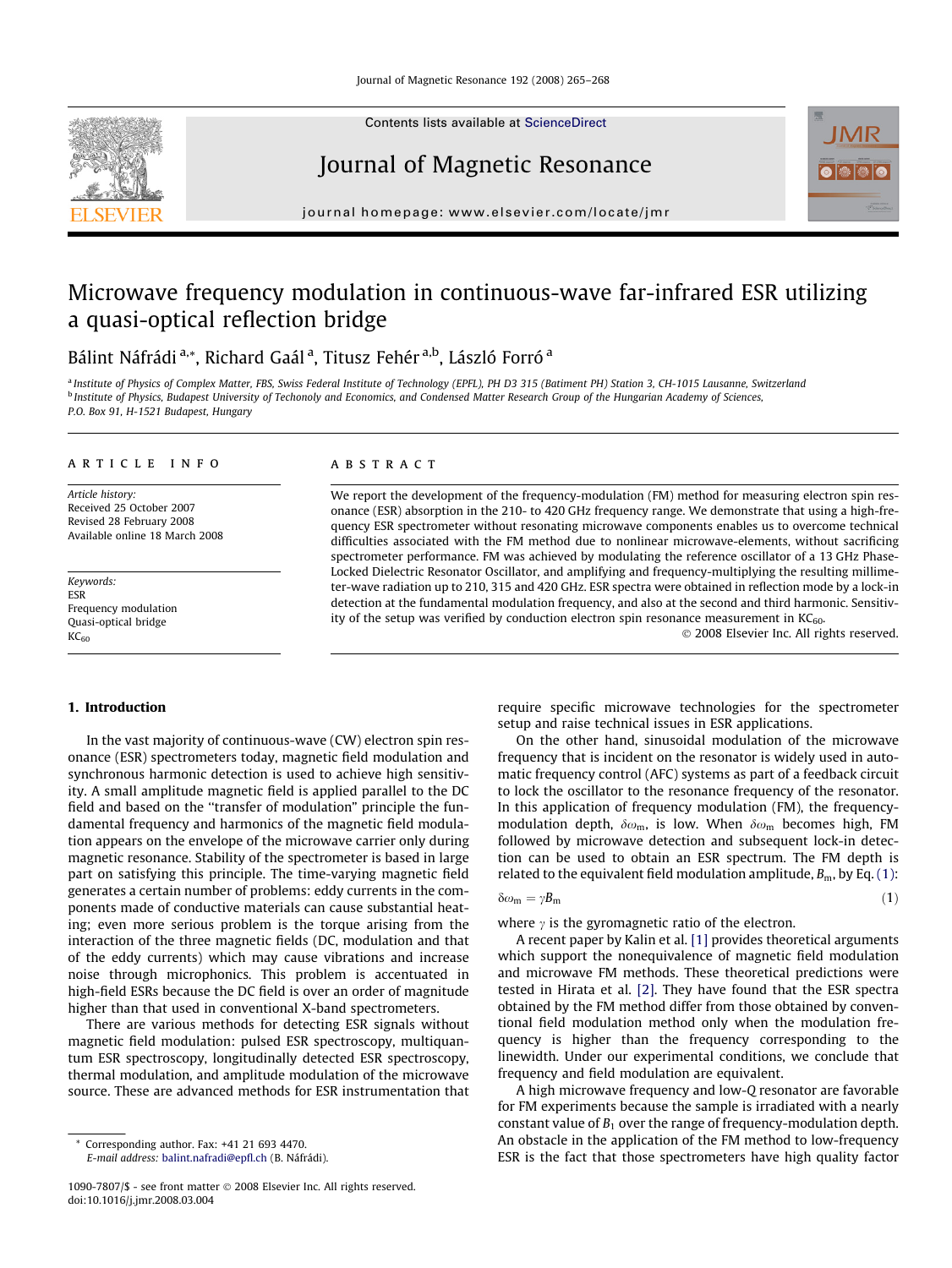Contents lists available at [ScienceDirect](http://www.sciencedirect.com/science/journal/10907807)

## Journal of Magnetic Resonance



# Microwave frequency modulation in continuous-wave far-infrared ESR utilizing a quasi-optical reflection bridge

Bálint Náfrádi <sup>a,</sup>\*, Richard Gaál <sup>a</sup>, Titusz Fehér <sup>a,b</sup>, László Forró <sup>a</sup>

a Institute of Physics of Complex Matter, FBS, Swiss Federal Institute of Technology (EPFL), PH D3 315 (Batiment PH) Station 3, CH-1015 Lausanne, Switzerland <sup>b</sup> Institute of Physics, Budapest University of Techonoly and Economics, and Condensed Matter Research Group of the Hungarian Academy of Sciences, P.O. Box 91, H-1521 Budapest, Hungary

#### article info

Article history: Received 25 October 2007 Revised 28 February 2008 Available online 18 March 2008

Keywords: ESR Frequency modulation Quasi-optical bridge  $KC<sub>60</sub>$ 

## 1. Introduction

In the vast majority of continuous-wave (CW) electron spin resonance (ESR) spectrometers today, magnetic field modulation and synchronous harmonic detection is used to achieve high sensitivity. A small amplitude magnetic field is applied parallel to the DC field and based on the ''transfer of modulation" principle the fundamental frequency and harmonics of the magnetic field modulation appears on the envelope of the microwave carrier only during magnetic resonance. Stability of the spectrometer is based in large part on satisfying this principle. The time-varying magnetic field generates a certain number of problems: eddy currents in the components made of conductive materials can cause substantial heating; even more serious problem is the torque arising from the interaction of the three magnetic fields (DC, modulation and that of the eddy currents) which may cause vibrations and increase noise through microphonics. This problem is accentuated in high-field ESRs because the DC field is over an order of magnitude higher than that used in conventional X-band spectrometers.

There are various methods for detecting ESR signals without magnetic field modulation: pulsed ESR spectroscopy, multiquantum ESR spectroscopy, longitudinally detected ESR spectroscopy, thermal modulation, and amplitude modulation of the microwave source. These are advanced methods for ESR instrumentation that

#### **ABSTRACT**

We report the development of the frequency-modulation (FM) method for measuring electron spin resonance (ESR) absorption in the 210- to 420 GHz frequency range. We demonstrate that using a high-frequency ESR spectrometer without resonating microwave components enables us to overcome technical difficulties associated with the FM method due to nonlinear microwave-elements, without sacrificing spectrometer performance. FM was achieved by modulating the reference oscillator of a 13 GHz Phase-Locked Dielectric Resonator Oscillator, and amplifying and frequency-multiplying the resulting millimeter-wave radiation up to 210, 315 and 420 GHz. ESR spectra were obtained in reflection mode by a lock-in detection at the fundamental modulation frequency, and also at the second and third harmonic. Sensitivity of the setup was verified by conduction electron spin resonance measurement in  $KC_{60}$ .

- 2008 Elsevier Inc. All rights reserved.

require specific microwave technologies for the spectrometer setup and raise technical issues in ESR applications.

On the other hand, sinusoidal modulation of the microwave frequency that is incident on the resonator is widely used in automatic frequency control (AFC) systems as part of a feedback circuit to lock the oscillator to the resonance frequency of the resonator. In this application of frequency modulation (FM), the frequencymodulation depth,  $\delta\omega_m$ , is low. When  $\delta\omega_m$  becomes high, FM followed by microwave detection and subsequent lock-in detection can be used to obtain an ESR spectrum. The FM depth is related to the equivalent field modulation amplitude,  $B<sub>m</sub>$ , by Eq. (1):

$$
\delta\omega_{\rm m} = \gamma B_{\rm m} \tag{1}
$$

where  $\gamma$  is the gyromagnetic ratio of the electron.

A recent paper by Kalin et al. [\[1\]](#page-3-0) provides theoretical arguments which support the nonequivalence of magnetic field modulation and microwave FM methods. These theoretical predictions were tested in Hirata et al. [\[2\]](#page-3-0). They have found that the ESR spectra obtained by the FM method differ from those obtained by conventional field modulation method only when the modulation frequency is higher than the frequency corresponding to the linewidth. Under our experimental conditions, we conclude that frequency and field modulation are equivalent.

A high microwave frequency and low-Q resonator are favorable for FM experiments because the sample is irradiated with a nearly constant value of  $B_1$  over the range of frequency-modulation depth. An obstacle in the application of the FM method to low-frequency ESR is the fact that those spectrometers have high quality factor

Corresponding author. Fax: +41 21 693 4470.

E-mail address: [balint.nafradi@epfl.ch](mailto:balint.nafradi@epfl.ch) (B. Náfrádi).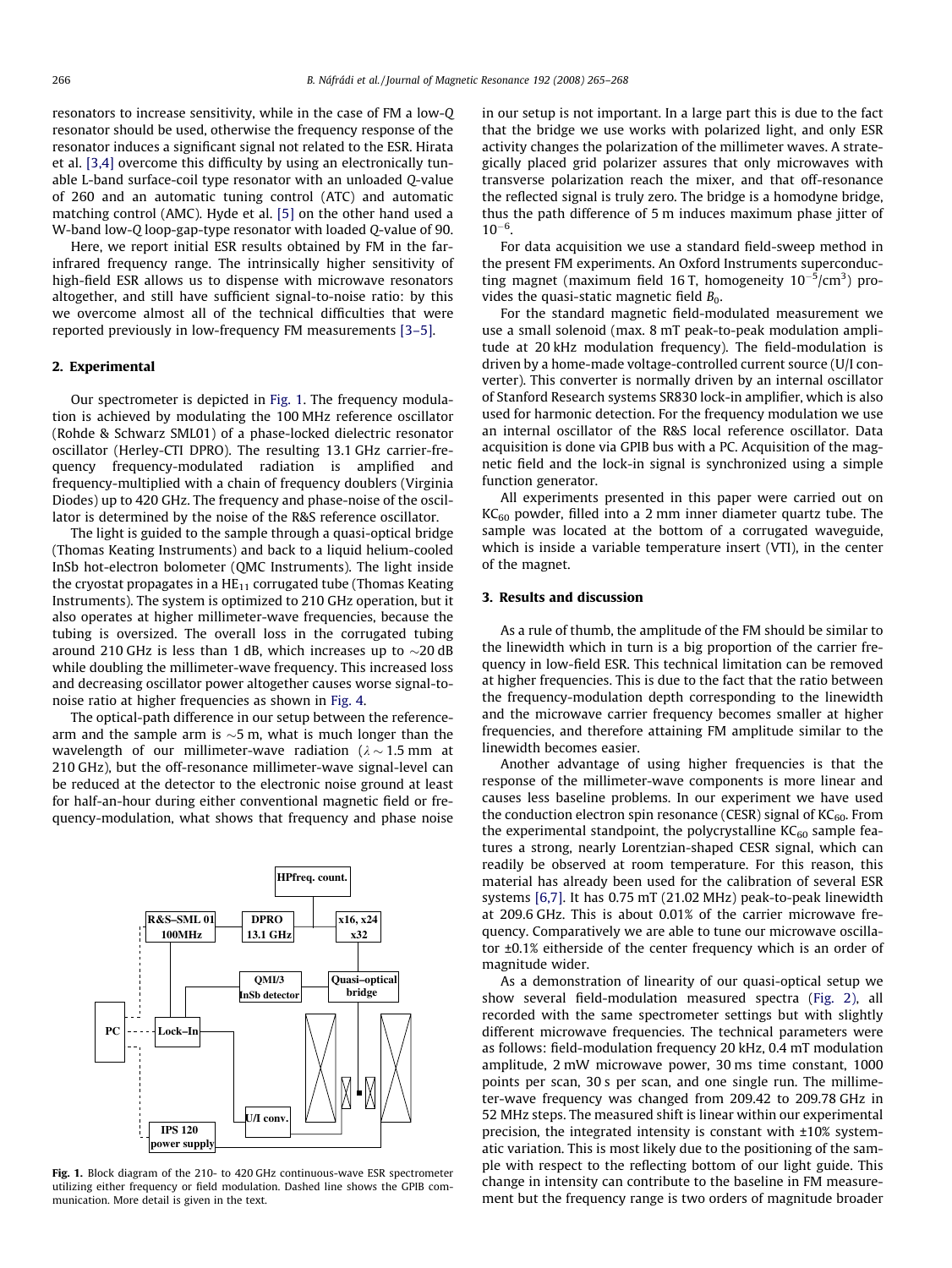resonators to increase sensitivity, while in the case of FM a low-Q resonator should be used, otherwise the frequency response of the resonator induces a significant signal not related to the ESR. Hirata et al. [\[3,4\]](#page-3-0) overcome this difficulty by using an electronically tunable L-band surface-coil type resonator with an unloaded Q-value of 260 and an automatic tuning control (ATC) and automatic matching control (AMC). Hyde et al. [\[5\]](#page-3-0) on the other hand used a W-band low-Q loop-gap-type resonator with loaded Q-value of 90.

Here, we report initial ESR results obtained by FM in the farinfrared frequency range. The intrinsically higher sensitivity of high-field ESR allows us to dispense with microwave resonators altogether, and still have sufficient signal-to-noise ratio: by this we overcome almost all of the technical difficulties that were reported previously in low-frequency FM measurements [\[3–5\].](#page-3-0)

#### 2. Experimental

Our spectrometer is depicted in Fig. 1. The frequency modulation is achieved by modulating the 100 MHz reference oscillator (Rohde & Schwarz SML01) of a phase-locked dielectric resonator oscillator (Herley-CTI DPRO). The resulting 13.1 GHz carrier-frequency frequency-modulated radiation is amplified and frequency-multiplied with a chain of frequency doublers (Virginia Diodes) up to 420 GHz. The frequency and phase-noise of the oscillator is determined by the noise of the R&S reference oscillator.

The light is guided to the sample through a quasi-optical bridge (Thomas Keating Instruments) and back to a liquid helium-cooled InSb hot-electron bolometer (QMC Instruments). The light inside the cryostat propagates in a  $HE_{11}$  corrugated tube (Thomas Keating Instruments). The system is optimized to 210 GHz operation, but it also operates at higher millimeter-wave frequencies, because the tubing is oversized. The overall loss in the corrugated tubing around 210 GHz is less than 1 dB, which increases up to  ${\sim}20\,\text{dB}$ while doubling the millimeter-wave frequency. This increased loss and decreasing oscillator power altogether causes worse signal-tonoise ratio at higher frequencies as shown in [Fig. 4.](#page-2-0)

The optical-path difference in our setup between the referencearm and the sample arm is  ${\sim}5$  m, what is much longer than the wavelength of our millimeter-wave radiation ( $\lambda \sim 1.5 \text{ mm}$  at 210 GHz), but the off-resonance millimeter-wave signal-level can be reduced at the detector to the electronic noise ground at least for half-an-hour during either conventional magnetic field or frequency-modulation, what shows that frequency and phase noise



Fig. 1. Block diagram of the 210- to 420 GHz continuous-wave ESR spectrometer utilizing either frequency or field modulation. Dashed line shows the GPIB communication. More detail is given in the text.

in our setup is not important. In a large part this is due to the fact that the bridge we use works with polarized light, and only ESR activity changes the polarization of the millimeter waves. A strategically placed grid polarizer assures that only microwaves with transverse polarization reach the mixer, and that off-resonance the reflected signal is truly zero. The bridge is a homodyne bridge, thus the path difference of 5 m induces maximum phase jitter of  $10^{-6}$ .

For data acquisition we use a standard field-sweep method in the present FM experiments. An Oxford Instruments superconducting magnet (maximum field 16 T, homogeneity  $10^{-5}$ /cm<sup>3</sup>) provides the quasi-static magnetic field  $B_0$ .

For the standard magnetic field-modulated measurement we use a small solenoid (max. 8 mT peak-to-peak modulation amplitude at 20 kHz modulation frequency). The field-modulation is driven by a home-made voltage-controlled current source (U/I converter). This converter is normally driven by an internal oscillator of Stanford Research systems SR830 lock-in amplifier, which is also used for harmonic detection. For the frequency modulation we use an internal oscillator of the R&S local reference oscillator. Data acquisition is done via GPIB bus with a PC. Acquisition of the magnetic field and the lock-in signal is synchronized using a simple function generator.

All experiments presented in this paper were carried out on  $KC_{60}$  powder, filled into a 2 mm inner diameter quartz tube. The sample was located at the bottom of a corrugated waveguide, which is inside a variable temperature insert (VTI), in the center of the magnet.

#### 3. Results and discussion

As a rule of thumb, the amplitude of the FM should be similar to the linewidth which in turn is a big proportion of the carrier frequency in low-field ESR. This technical limitation can be removed at higher frequencies. This is due to the fact that the ratio between the frequency-modulation depth corresponding to the linewidth and the microwave carrier frequency becomes smaller at higher frequencies, and therefore attaining FM amplitude similar to the linewidth becomes easier.

Another advantage of using higher frequencies is that the response of the millimeter-wave components is more linear and causes less baseline problems. In our experiment we have used the conduction electron spin resonance (CESR) signal of  $KC_{60}$ . From the experimental standpoint, the polycrystalline  $KC_{60}$  sample features a strong, nearly Lorentzian-shaped CESR signal, which can readily be observed at room temperature. For this reason, this material has already been used for the calibration of several ESR systems [\[6,7\]](#page-3-0). It has 0.75 mT (21.02 MHz) peak-to-peak linewidth at 209.6 GHz. This is about 0.01% of the carrier microwave frequency. Comparatively we are able to tune our microwave oscillator ±0.1% eitherside of the center frequency which is an order of magnitude wider.

As a demonstration of linearity of our quasi-optical setup we show several field-modulation measured spectra [\(Fig. 2\),](#page-2-0) all recorded with the same spectrometer settings but with slightly different microwave frequencies. The technical parameters were as follows: field-modulation frequency 20 kHz, 0.4 mT modulation amplitude, 2 mW microwave power, 30 ms time constant, 1000 points per scan, 30 s per scan, and one single run. The millimeter-wave frequency was changed from 209.42 to 209.78 GHz in 52 MHz steps. The measured shift is linear within our experimental precision, the integrated intensity is constant with ±10% systematic variation. This is most likely due to the positioning of the sample with respect to the reflecting bottom of our light guide. This change in intensity can contribute to the baseline in FM measurement but the frequency range is two orders of magnitude broader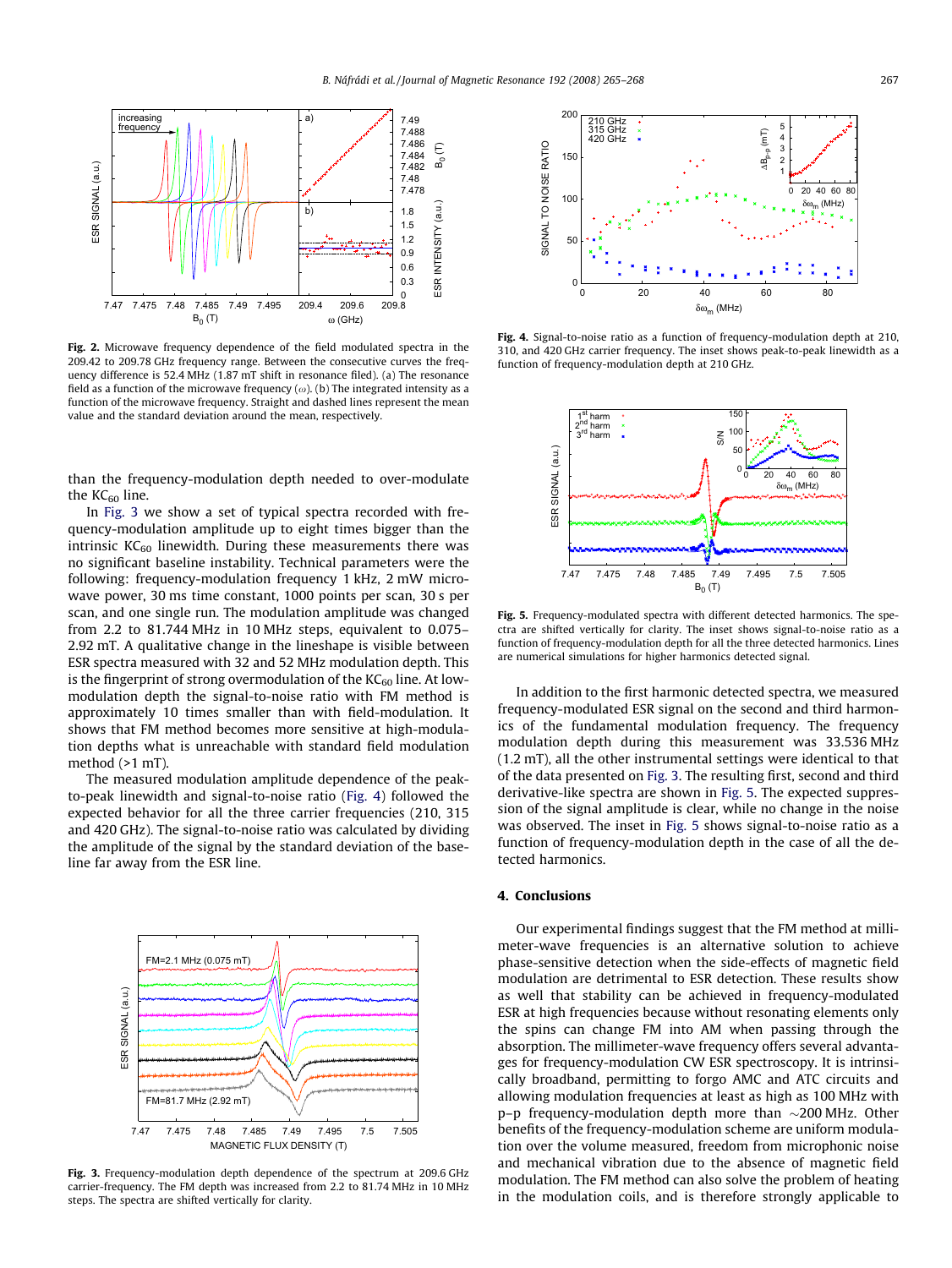<span id="page-2-0"></span>

Fig. 2. Microwave frequency dependence of the field modulated spectra in the 209.42 to 209.78 GHz frequency range. Between the consecutive curves the frequency difference is 52.4 MHz (1.87 mT shift in resonance filed). (a) The resonance field as a function of the microwave frequency  $(\omega)$ . (b) The integrated intensity as a function of the microwave frequency. Straight and dashed lines represent the mean value and the standard deviation around the mean, respectively.

than the frequency-modulation depth needed to over-modulate the  $KC_{60}$  line.

In Fig. 3 we show a set of typical spectra recorded with frequency-modulation amplitude up to eight times bigger than the intrinsic  $KC_{60}$  linewidth. During these measurements there was no significant baseline instability. Technical parameters were the following: frequency-modulation frequency 1 kHz, 2 mW microwave power, 30 ms time constant, 1000 points per scan, 30 s per scan, and one single run. The modulation amplitude was changed from 2.2 to 81.744 MHz in 10 MHz steps, equivalent to 0.075– 2.92 mT. A qualitative change in the lineshape is visible between ESR spectra measured with 32 and 52 MHz modulation depth. This is the fingerprint of strong overmodulation of the  $KC_{60}$  line. At lowmodulation depth the signal-to-noise ratio with FM method is approximately 10 times smaller than with field-modulation. It shows that FM method becomes more sensitive at high-modulation depths what is unreachable with standard field modulation method (>1 mT).

The measured modulation amplitude dependence of the peakto-peak linewidth and signal-to-noise ratio (Fig. 4) followed the expected behavior for all the three carrier frequencies (210, 315 and 420 GHz). The signal-to-noise ratio was calculated by dividing the amplitude of the signal by the standard deviation of the baseline far away from the ESR line.



Fig. 3. Frequency-modulation depth dependence of the spectrum at 209.6 GHz carrier-frequency. The FM depth was increased from 2.2 to 81.74 MHz in 10 MHz steps. The spectra are shifted vertically for clarity.



Fig. 4. Signal-to-noise ratio as a function of frequency-modulation depth at 210, 310, and 420 GHz carrier frequency. The inset shows peak-to-peak linewidth as a function of frequency-modulation depth at 210 GHz.



Fig. 5. Frequency-modulated spectra with different detected harmonics. The spectra are shifted vertically for clarity. The inset shows signal-to-noise ratio as a function of frequency-modulation depth for all the three detected harmonics. Lines are numerical simulations for higher harmonics detected signal.

In addition to the first harmonic detected spectra, we measured frequency-modulated ESR signal on the second and third harmonics of the fundamental modulation frequency. The frequency modulation depth during this measurement was 33.536 MHz (1.2 mT), all the other instrumental settings were identical to that of the data presented on Fig. 3. The resulting first, second and third derivative-like spectra are shown in Fig. 5. The expected suppression of the signal amplitude is clear, while no change in the noise was observed. The inset in Fig. 5 shows signal-to-noise ratio as a function of frequency-modulation depth in the case of all the detected harmonics.

#### 4. Conclusions

Our experimental findings suggest that the FM method at millimeter-wave frequencies is an alternative solution to achieve phase-sensitive detection when the side-effects of magnetic field modulation are detrimental to ESR detection. These results show as well that stability can be achieved in frequency-modulated ESR at high frequencies because without resonating elements only the spins can change FM into AM when passing through the absorption. The millimeter-wave frequency offers several advantages for frequency-modulation CW ESR spectroscopy. It is intrinsically broadband, permitting to forgo AMC and ATC circuits and allowing modulation frequencies at least as high as 100 MHz with p–p frequency-modulation depth more than  $\sim$ 200 MHz. Other benefits of the frequency-modulation scheme are uniform modulation over the volume measured, freedom from microphonic noise and mechanical vibration due to the absence of magnetic field modulation. The FM method can also solve the problem of heating in the modulation coils, and is therefore strongly applicable to